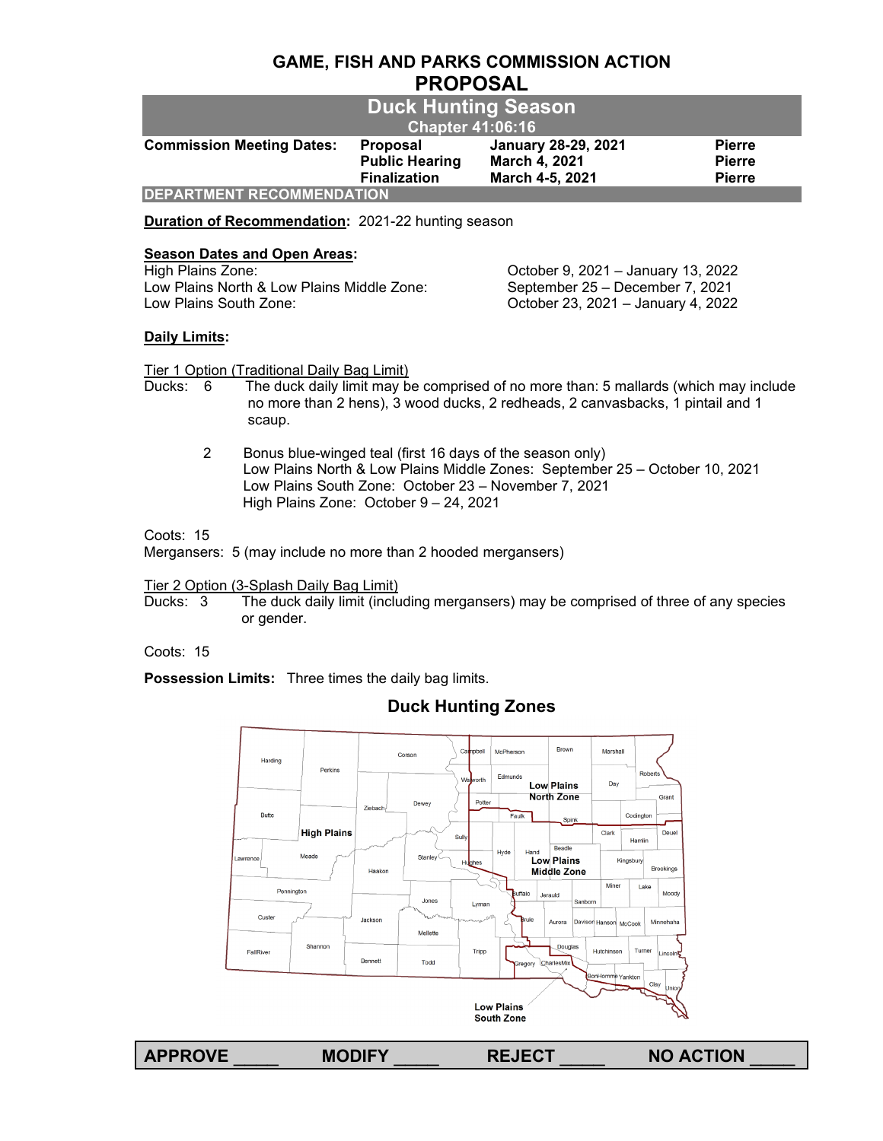## **GAME, FISH AND PARKS COMMISSION ACTION PROPOSAL**

| <b>Duck Hunting Season</b><br><b>Chapter 41:06:16</b> |                                                          |                                                                |                                                 |  |  |
|-------------------------------------------------------|----------------------------------------------------------|----------------------------------------------------------------|-------------------------------------------------|--|--|
| <b>Commission Meeting Dates:</b>                      | Proposal<br><b>Public Hearing</b><br><b>Finalization</b> | <b>January 28-29, 2021</b><br>March 4, 2021<br>March 4-5, 2021 | <b>Pierre</b><br><b>Pierre</b><br><b>Pierre</b> |  |  |
| <b>DEPARTMENT RECOMMENDATION</b>                      |                                                          |                                                                |                                                 |  |  |

**Duration of Recommendation:** 2021-22 hunting season

# **Season Dates and Open Areas:**<br>High Plains Zone:

Low Plains North & Low Plains Middle Zone: September 25 – December 7, 2021 Low Plains South Zone: October 23, 2021 – January 4, 2022

October 9, 2021 – January 13, 2022

## **Daily Limits:**

Tier 1 Option (Traditional Daily Bag Limit)

- Ducks: 6 The duck daily limit may be comprised of no more than: 5 mallards (which may include no more than 2 hens), 3 wood ducks, 2 redheads, 2 canvasbacks, 1 pintail and 1 scaup.
	- 2 Bonus blue-winged teal (first 16 days of the season only) Low Plains North & Low Plains Middle Zones: September 25 – October 10, 2021 Low Plains South Zone: October 23 – November 7, 2021 High Plains Zone: October 9 – 24, 2021

## Coots: 15

Mergansers: 5 (may include no more than 2 hooded mergansers)

# Tier 2 Option (3-Splash Daily Bag Limit)<br>Ducks: 3 The duck daily limit (inclu

The duck daily limit (including mergansers) may be comprised of three of any species or gender.

## Coots: 15

**Possession Limits:** Three times the daily bag limits.

## **Duck Hunting Zones**



**APPROVE** \_\_\_\_ **MODIFY** \_\_\_\_ **REJECT** \_\_\_\_ **NO ACTION** \_\_\_\_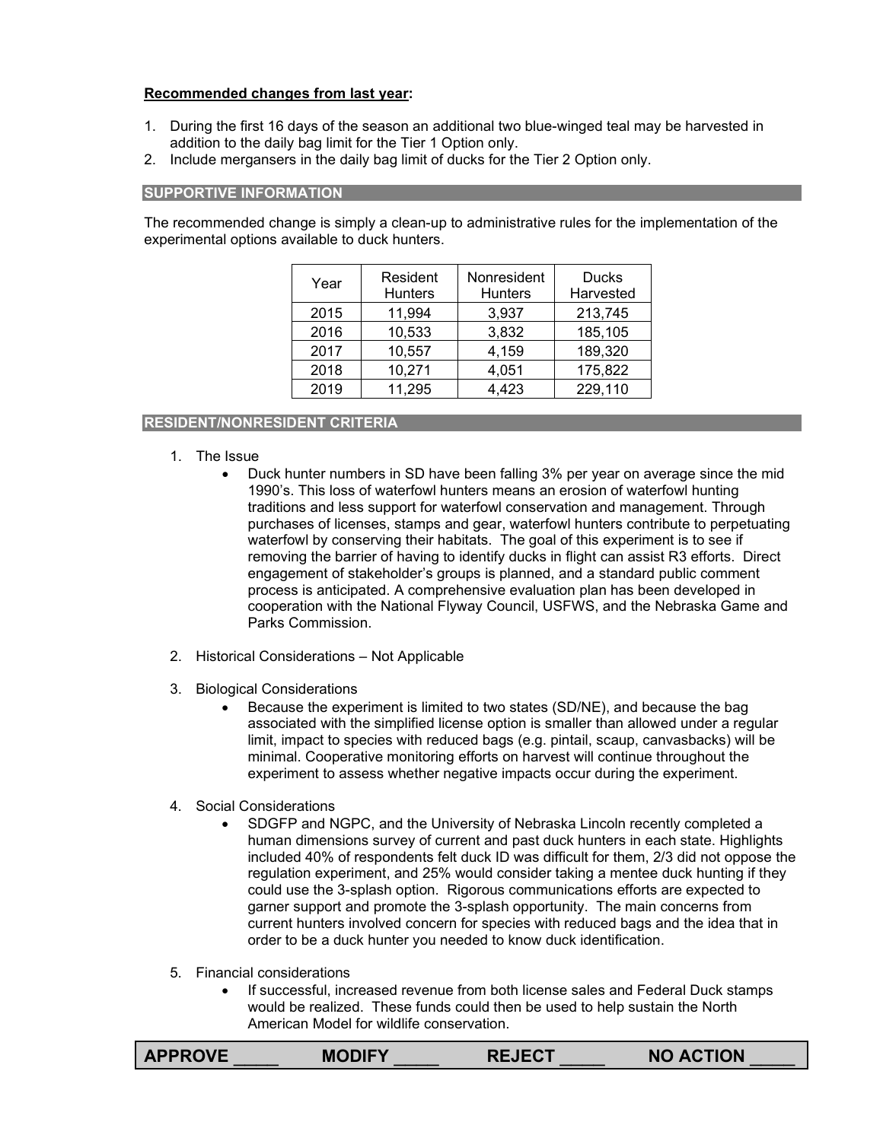## **Recommended changes from last year:**

- 1. During the first 16 days of the season an additional two blue-winged teal may be harvested in addition to the daily bag limit for the Tier 1 Option only.
- 2. Include mergansers in the daily bag limit of ducks for the Tier 2 Option only.

#### **SUPPORTIVE INFORMATION**

The recommended change is simply a clean-up to administrative rules for the implementation of the experimental options available to duck hunters.

| Year | Resident<br><b>Hunters</b> | Nonresident<br><b>Hunters</b> | <b>Ducks</b><br>Harvested |
|------|----------------------------|-------------------------------|---------------------------|
| 2015 | 11,994                     | 3,937                         | 213,745                   |
| 2016 | 10,533                     | 3,832                         | 185,105                   |
| 2017 | 10,557                     | 4,159                         | 189,320                   |
| 2018 | 10,271                     | 4,051                         | 175,822                   |
| 2019 | 11,295                     | 4,423                         | 229,110                   |

## **RESIDENT/NONRESIDENT CRITERIA**

- 1. The Issue
	- Duck hunter numbers in SD have been falling 3% per year on average since the mid 1990's. This loss of waterfowl hunters means an erosion of waterfowl hunting traditions and less support for waterfowl conservation and management. Through purchases of licenses, stamps and gear, waterfowl hunters contribute to perpetuating waterfowl by conserving their habitats. The goal of this experiment is to see if removing the barrier of having to identify ducks in flight can assist R3 efforts. Direct engagement of stakeholder's groups is planned, and a standard public comment process is anticipated. A comprehensive evaluation plan has been developed in cooperation with the National Flyway Council, USFWS, and the Nebraska Game and Parks Commission.
- 2. Historical Considerations Not Applicable
- 3. Biological Considerations
	- Because the experiment is limited to two states (SD/NE), and because the bag associated with the simplified license option is smaller than allowed under a regular limit, impact to species with reduced bags (e.g. pintail, scaup, canvasbacks) will be minimal. Cooperative monitoring efforts on harvest will continue throughout the experiment to assess whether negative impacts occur during the experiment.
- 4. Social Considerations
	- SDGFP and NGPC, and the University of Nebraska Lincoln recently completed a human dimensions survey of current and past duck hunters in each state. Highlights included 40% of respondents felt duck ID was difficult for them, 2/3 did not oppose the regulation experiment, and 25% would consider taking a mentee duck hunting if they could use the 3-splash option. Rigorous communications efforts are expected to garner support and promote the 3-splash opportunity. The main concerns from current hunters involved concern for species with reduced bags and the idea that in order to be a duck hunter you needed to know duck identification.
- 5. Financial considerations
	- If successful, increased revenue from both license sales and Federal Duck stamps would be realized. These funds could then be used to help sustain the North American Model for wildlife conservation.

|  | <b>APPROVE</b> | <b>MODIFY</b> | <b>REJECT</b> | <b>NO ACTION</b> |
|--|----------------|---------------|---------------|------------------|
|--|----------------|---------------|---------------|------------------|